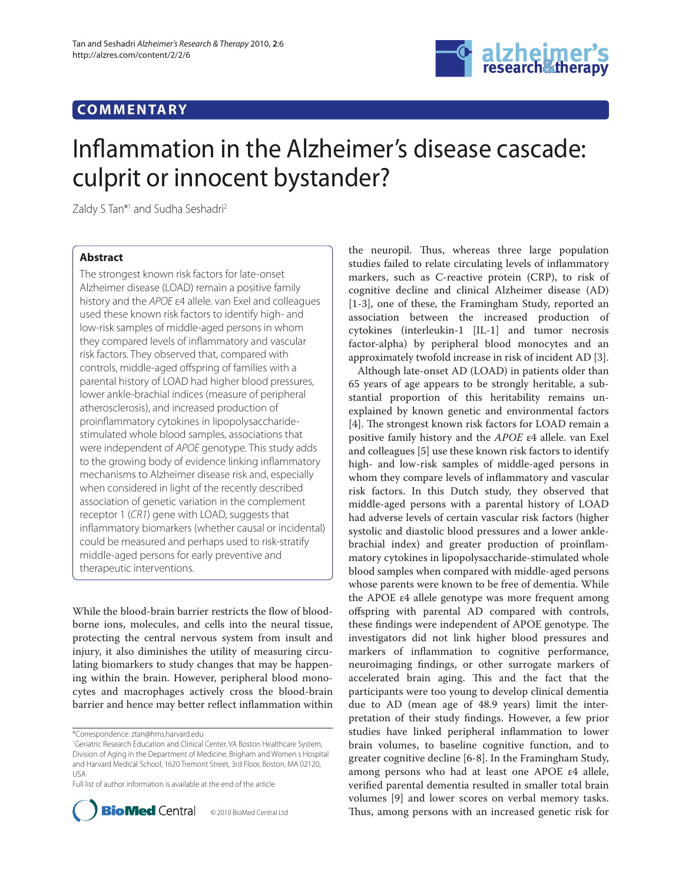## **COMMENTARY**



# Inflammation in the Alzheimer's disease cascade: culprit or innocent bystander?

Zaldy S Tan\*<sup>1</sup> and Sudha Seshadri<sup>2</sup>

### **Abstract**

The strongest known risk factors for late-onset Alzheimer disease (LOAD) remain a positive family history and the APOE ε4 allele. van Exel and colleagues used these known risk factors to identify high- and low-risk samples of middle-aged persons in whom they compared levels of inflammatory and vascular risk factors. They observed that, compared with controls, middle-aged offspring of families with a parental history of LOAD had higher blood pressures, lower ankle-brachial indices (measure of peripheral atherosclerosis), and increased production of proinflammatory cytokines in lipopolysaccharidestimulated whole blood samples, associations that were independent of APOE genotype. This study adds to the growing body of evidence linking inflammatory mechanisms to Alzheimer disease risk and, especially when considered in light of the recently described association of genetic variation in the complement receptor 1 (CR1) gene with LOAD, suggests that inflammatory biomarkers (whether causal or incidental) could be measured and perhaps used to risk-stratify middle-aged persons for early preventive and therapeutic interventions.

While the blood-brain barrier restricts the flow of bloodborne ions, molecules, and cells into the neural tissue, protecting the central nervous system from insult and injury, it also diminishes the utility of measuring circulating biomarkers to study changes that may be happening within the brain. However, peripheral blood monocytes and macrophages actively cross the blood-brain barrier and hence may better reflect inflammation within

Full list of author information is available at the end of the article



© 2010 BioMed Central Ltd

the neuropil. Thus, whereas three large population studies failed to relate circulating levels of inflammatory markers, such as C-reactive protein (CRP), to risk of cognitive decline and clinical Alzheimer disease (AD) [1-3], one of these, the Framingham Study, reported an association between the increased production of cytokines (interleukin-1 [IL-1] and tumor necrosis factor-alpha) by peripheral blood monocytes and an approximately twofold increase in risk of incident AD [3].

Although late-onset AD (LOAD) in patients older than 65 years of age appears to be strongly heritable, a substantial proportion of this heritability remains unexplained by known genetic and environmental factors [4]. The strongest known risk factors for LOAD remain a positive family history and the *APOE* ε4 allele. van Exel and colleagues [5] use these known risk factors to identify high- and low-risk samples of middle-aged persons in whom they compare levels of inflammatory and vascular risk factors. In this Dutch study, they observed that middle-aged persons with a parental history of LOAD had adverse levels of certain vascular risk factors (higher systolic and diastolic blood pressures and a lower anklebrachial index) and greater production of proinflammatory cytokines in lipopolysaccharide-stimulated whole blood samples when compared with middle-aged persons whose parents were known to be free of dementia. While the APOE ε4 allele genotype was more frequent among offspring with parental AD compared with controls, these findings were independent of APOE genotype. The investigators did not link higher blood pressures and markers of inflammation to cognitive performance, neuroimaging findings, or other surrogate markers of accelerated brain aging. This and the fact that the participants were too young to develop clinical dementia due to AD (mean age of 48.9 years) limit the interpretation of their study findings. However, a few prior studies have linked peripheral inflammation to lower brain volumes, to baseline cognitive function, and to greater cognitive decline [6-8]. In the Framingham Study, among persons who had at least one APOE ε4 allele, verified parental dementia resulted in smaller total brain volumes [9] and lower scores on verbal memory tasks. Thus, among persons with an increased genetic risk for

<sup>\*</sup>Correspondence: ztan@hms.harvard.edu

<sup>1</sup> Geriatric Research Education and Clinical Center, VA Boston Healthcare System, Division of Aging in the Department of Medicine, Brigham and Women s Hospital and Harvard Medical School, 1620 Tremont Street, 3rd Floor, Boston, MA 02120, USA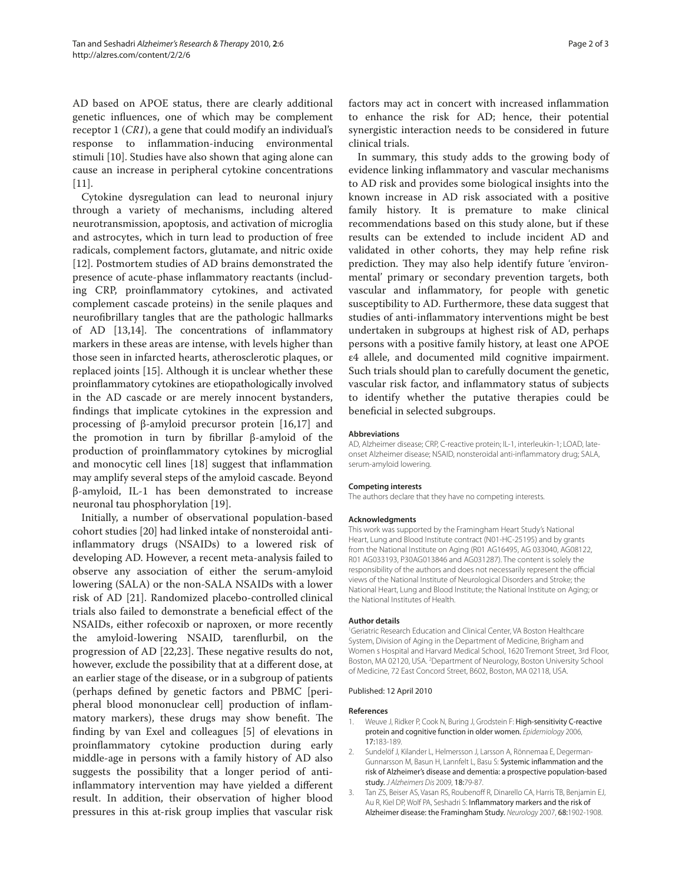AD based on APOE status, there are clearly additional genetic influences, one of which may be complement receptor 1 (*CR1*), a gene that could modify an individual's response to inflammation-inducing environmental stimuli [10]. Studies have also shown that aging alone can cause an increase in peripheral cytokine concentrations [11].

Cytokine dysregulation can lead to neuronal injury through a variety of mechanisms, including altered neuro transmission, apoptosis, and activation of microglia and astrocytes, which in turn lead to production of free radicals, complement factors, glutamate, and nitric oxide [12]. Postmortem studies of AD brains demonstrated the presence of acute-phase inflammatory reactants (including CRP, proinflammatory cytokines, and activated complement cascade proteins) in the senile plaques and neurofibrillary tangles that are the pathologic hallmarks of AD [13,14]. The concentrations of inflammatory markers in these areas are intense, with levels higher than those seen in infarcted hearts, atherosclerotic plaques, or replaced joints [15]. Although it is unclear whether these proinflammatory cytokines are etiopathologically involved in the AD cascade or are merely innocent bystanders, findings that implicate cytokines in the expression and processing of β-amyloid precursor protein [16,17] and the promotion in turn by fibrillar β-amyloid of the production of proinflammatory cytokines by microglial and monocytic cell lines [18] suggest that inflammation may amplify several steps of the amyloid cascade. Beyond β-amyloid, IL-1 has been demonstrated to increase neuronal tau phosphorylation [19].

Initially, a number of observational population-based cohort studies [20] had linked intake of nonsteroidal antiinflammatory drugs (NSAIDs) to a lowered risk of developing AD. However, a recent meta-analysis failed to observe any association of either the serum-amyloid lowering (SALA) or the non-SALA NSAIDs with a lower risk of AD [21]. Randomized placebo-controlled clinical trials also failed to demonstrate a beneficial effect of the NSAIDs, either rofecoxib or naproxen, or more recently the amyloid-lowering NSAID, tarenflurbil, on the progression of AD [22,23]. These negative results do not, however, exclude the possibility that at a different dose, at an earlier stage of the disease, or in a subgroup of patients (perhaps defined by genetic factors and PBMC [peripheral blood mononuclear cell production of inflammatory markers), these drugs may show benefit. The finding by van Exel and colleagues [5] of elevations in proinflammatory cytokine production during early middle-age in persons with a family history of AD also suggests the possibility that a longer period of antiinflammatory intervention may have yielded a different result. In addition, their observation of higher blood pressures in this at-risk group implies that vascular risk

factors may act in concert with increased inflammation to enhance the risk for AD; hence, their potential synergistic interaction needs to be considered in future clinical trials.

In summary, this study adds to the growing body of evidence linking inflammatory and vascular mechanisms to AD risk and provides some biological insights into the known increase in AD risk associated with a positive family history. It is premature to make clinical recommendations based on this study alone, but if these results can be extended to include incident AD and validated in other cohorts, they may help refine risk prediction. They may also help identify future 'environmental' primary or secondary prevention targets, both vascular and inflammatory, for people with genetic susceptibility to AD. Furthermore, these data suggest that studies of anti-inflammatory interventions might be best undertaken in subgroups at highest risk of AD, perhaps persons with a positive family history, at least one APOE ε4 allele, and documented mild cognitive impairment. Such trials should plan to carefully document the genetic, vascular risk factor, and inflammatory status of subjects to identify whether the putative therapies could be beneficial in selected subgroups.

#### **Abbreviations**

AD, Alzheimer disease; CRP, C-reactive protein; IL-1, interleukin-1; LOAD, lateonset Alzheimer disease; NSAID, nonsteroidal anti-inflammatory drug; SALA, serum-amyloid lowering.

#### **Competing interests**

The authors declare that they have no competing interests.

#### **Acknowledgments**

This work was supported by the Framingham Heart Study's National Heart, Lung and Blood Institute contract (N01-HC-25195) and by grants from the National Institute on Aging (R01 AG16495, AG 033040, AG08122, R01 AG033193, P30AG013846 and AG031287). The content is solely the responsibility of the authors and does not necessarily represent the official views of the National Institute of Neurological Disorders and Stroke; the National Heart, Lung and Blood Institute; the National Institute on Aging; or the National Institutes of Health.

#### **Author details**

1 Geriatric Research Education and Clinical Center, VA Boston Healthcare System, Division of Aging in the Department of Medicine, Brigham and Women s Hospital and Harvard Medical School, 1620 Tremont Street, 3rd Floor, Boston, MA 02120, USA. <sup>2</sup>Department of Neurology, Boston University School of Medicine, 72 East Concord Street, B602, Boston, MA 02118, USA.

#### Published: 12 April 2010

#### **References**

- 1. Weuve J, Ridker P, Cook N, Buring J, Grodstein F: High-sensitivity C-reactive protein and cognitive function in older women. Epidemiology 2006, 17:183-189.
- 2. Sundelöf J, Kilander L, Helmersson J, Larsson A, Rönnemaa E, Degerman-Gunnarsson M, Basun H, Lannfelt L, Basu S: Systemic inflammation and the risk of Alzheimer's disease and dementia: a prospective population-based study. J Alzheimers Dis 2009, 18:79-87.
- 3. Tan ZS, Beiser AS, Vasan RS, Roubenoff R, Dinarello CA, Harris TB, Benjamin EJ, Au R, Kiel DP, Wolf PA, Seshadri S: Inflammatory markers and the risk of Alzheimer disease: the Framingham Study. Neurology 2007, 68:1902-1908.